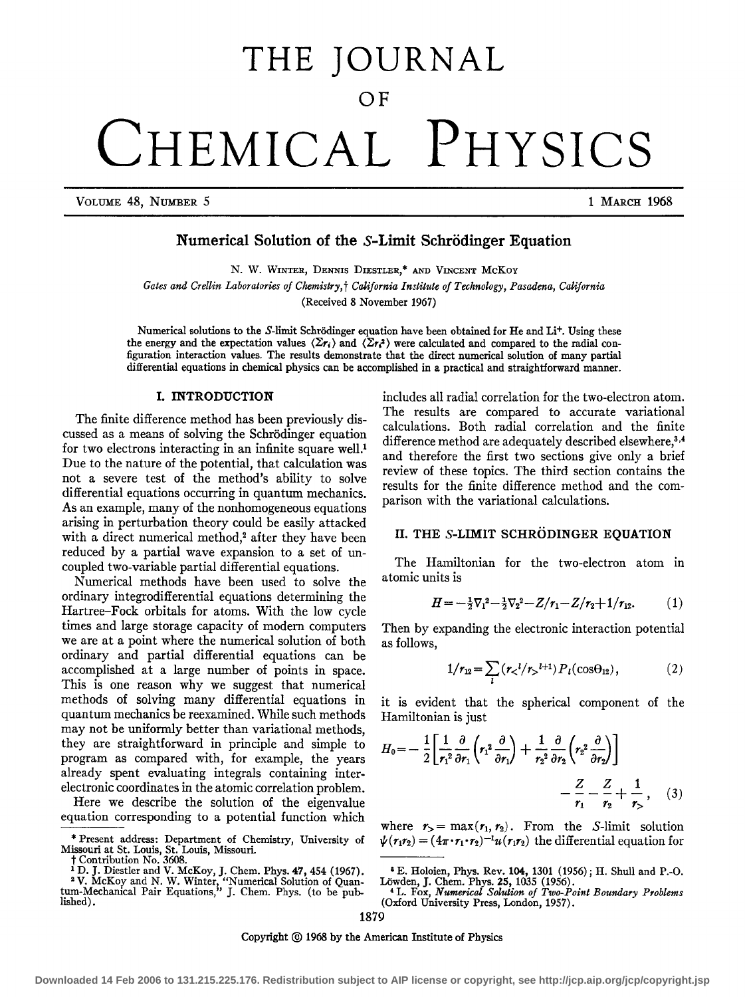# **THE JOURNAL**

OF

CHEMICAL PHYSICS

VOLUME 48, NUMBER 5 1 MARCH 1968

## Numerical Solution of the S-Limit Schrodinger Equation

N. W. WINTER, DENNIS DIESTLER,\* AND VINCENT MCKOY *Gates and Crellin Laboratories of Chemistry,* t *CaJifornia Institute of Technology, Pasadena, California*  (Received 8 November 1967)

Numerical solutions to the S-limit Schrödinger equation have been obtained for He and Li+. Using these the energy and the expectation values  $\langle \Sigma r_i \rangle$  and  $\langle \Sigma r_i^2 \rangle$  were calculated and compared to the radial configuration interaction values. The results demonstrate that the direct numerical solution of many partial differential equations in chemical physics can be accomplished in a practical and straightforward manner.

#### I. INTRODUCTION

The finite difference method has been previously discussed as a means of solving the Schrodinger equation for two electrons interacting in an infinite square well.<sup>1</sup> Due to the nature of the potential, that calculation was not a severe test of the method's ability to solve differential equations occurring in quantum mechanics. As an example, many of the nonhomogeneous equations arising in perturbation theory could be easily attacked with a direct numerical method,<sup>2</sup> after they have been reduced by a partial wave expansion to a set of uncoupled two-variable partial differential equations.

Numerical methods have been used to solve the ordinary integrodifferential equations determining the Hartree-Fock orbitals for atoms. With the low cycle times and large storage capacity of modem computers we are at a point where the numerical solution of both ordinary and partial differential equations can be accomplished at a large number of points in space. This is one reason why we suggest that numerical methods of solving many differential equations in quantum mechanics be reexamined. While such methods may not be uniformly better than variational methods, they are straightforward in principle and simple to program as compared with, for example, the years already spent evaluating integrals containing interelectronic coordinates in the atomic correlation problem.

Here we describe the solution of the eigenvalue equation corresponding to a potential function which

includes all radial correlation for the two-electron atom. The results are compared to accurate variational calculations. Both radial correlation and the finite difference method are adequately described elsewhere,<sup>3,4</sup> and therefore the first two sections give only a brief review of these topics. The third section contains the results for the finite difference method and the comparison with the variational calculations.

### II. THE S-LIMIT SCHRÖDINGER EQUATION

The Hamiltonian for the two-electron atom in atomic units is

$$
H = -\frac{1}{2}\nabla_1^2 - \frac{1}{2}\nabla_2^2 - Z/r_1 - Z/r_2 + 1/r_{12}.
$$
 (1)

Then by expanding the electronic interaction potential as follows,

$$
1/r_{12} = \sum_{l} (r_{<}^{l}/r_{>}^{l+1}) P_{l}(\cos\theta_{12}), \qquad (2)
$$

it is evident that the spherical component of the Hamiltonian is just

$$
H_0 = -\frac{1}{2} \left[ \frac{1}{r_1^2} \frac{\partial}{\partial r_1} \left( r_1^2 \frac{\partial}{\partial r_1} \right) + \frac{1}{r_2^2} \frac{\partial}{\partial r_2} \left( r_2^2 \frac{\partial}{\partial r_2} \right) \right] - \frac{Z}{r_1} - \frac{Z}{r_2} + \frac{1}{r_2}, \quad (3)
$$

where  $r_>= \max(r_1, r_2)$ . From the S-limit solution  $\psi(r_1r_2) = (4\pi \cdot r_1 \cdot r_2)^{-1}u(r_1r_2)$  the differential equation for

<sup>\*</sup>Present address: Department of Chemistry, University of Missouri at St. Louis, St. Louis, Missouri.

t Contribution No. 3608.<br><sup>1</sup> D. J. Diestler and V. McKoy, J. Chem. Phys. 47, 454 (1967).<br><sup>2</sup> V. McKoy and N. W. Winter, "Numerical Solution of Quantum-Mechanical Pair Equations," J. Chem. Phys. (to be pub-<br>lished).

<sup>&</sup>lt;sup>4</sup> E. Holoien, Phys. Rev. 104, 1301 (1956); H. Shull and P.-O. Löwden, J. Chem. Phys. 25, 1035 (1956).<br>
<sup>4</sup> L. Fox, *Numerical Solution of Two-Point Boundary Problems* (Oxford University Press, London, 1957).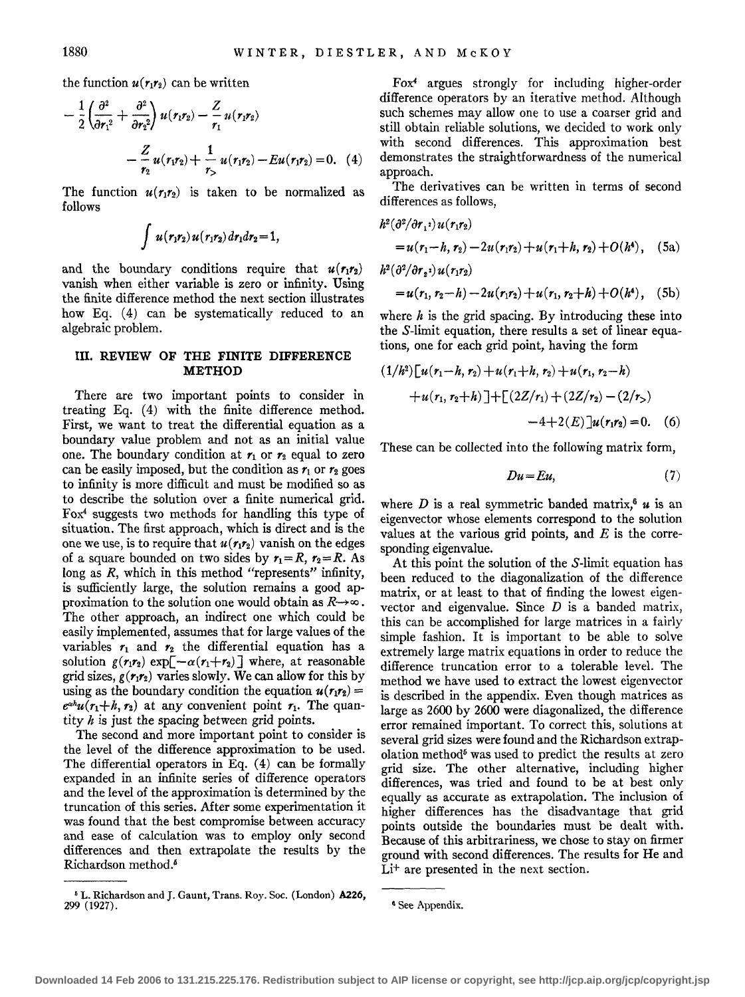the function  $u(r_1r_2)$  can be written

$$
-\frac{1}{2}\left(\frac{\partial^2}{\partial r_1^2} + \frac{\partial^2}{\partial r_2^2}\right)u(r_1r_2) - \frac{Z}{r_1}u(r_1r_2)
$$

$$
-\frac{Z}{r_2}u(r_1r_2) + \frac{1}{r_2}u(r_1r_2) - Eu(r_1r_2) = 0. \quad (4)
$$

The function  $u(r_1r_2)$  is taken to be normalized as follows

$$
\int u(r_1r_2) u(r_1r_2) dr_1 dr_2 = 1,
$$

and the boundary conditions require that  $u(r_1r_2)$ vanish when either variable is zero or infinity. Using the finite difference method the next section illustrates how Eq. (4) can be systematically reduced to an algebraic problem.

#### **III. REVIEW OF THE FINITE DIFFERENCE METHOD**

There are two important points to consider in treating Eq. (4) with the finite difference method. First, we want to treat the differential equation as a boundary value problem and not as an initial value one. The boundary condition at  $r_1$  or  $r_2$  equal to zero can be easily imposed, but the condition as  $r_1$  or  $r_2$  goes to infinity is more difficult and must be modified so as to describe the solution over a finite numerical grid.  $F\alpha^4$  suggests two methods for handling this type of situation. The first approach, which is direct and is the one we use, is to require that  $u(r_1r_2)$  vanish on the edges of a square bounded on two sides by  $r_1 = R$ ,  $r_2 = R$ . As long as *R*, which in this method "represents" infinity, is sufficiently large, the solution remains a good approximation to the solution one would obtain as  $R\rightarrow\infty$ . The other approach, an indirect one which could be easily implemented, assumes that for large values of the variables  $r_1$  and  $r_2$  the differential equation has a solution  $g(r_1r_2)$  exp $\left[\frac{-\alpha(r_1+r_2)}{r_2}\right]$  where, at reasonable grid sizes,  $g(r_1r_2)$  varies slowly. We can allow for this by using as the boundary condition the equation  $u(r_1r_2)$  =  $e^{\alpha h}u(r_1+h, r_2)$  at any convenient point  $r_1$ . The quantity *h* is just the spacing between grid points.

The second and more important point to consider is the level of the difference approximation to be used. The differential operators in Eq.  $(4)$  can be formally expanded in an infinite series of difference operators and the level of the approximation is determined by the truncation of this series. After some experimentation it was found that the best compromise between accuracy and ease of calculation was to employ only second differences and then extrapolate the results by the Richardson method.6

Fox4 argues strongly for including higher-order difference operators by an iterative method. Although such schemes may allow one to use a coarser grid and still obtain reliable solutions, we decided to work only with second differences. This approximation best demonstrates the straightforwardness of the numerical approach.

The derivatives can be written in terms of second differences as follows,

$$
h^{2}(\partial^{2}/\partial r_{1}^{2}) u(r_{1}r_{2})
$$
  
=  $u(r_{1}-h, r_{2})-2u(r_{1}r_{2})+u(r_{1}+h, r_{2})+O(h^{4}),$  (5a)  

$$
h^{2}(\partial^{2}/\partial r_{2}^{2}) u(r_{1}r_{2})
$$

$$
=u(r_1, r_2-h)-2u(r_1r_2)+u(r_1, r_2+h)+O(h^4), (5b)
$$

where  $h$  is the grid spacing. By introducing these into the S-limit equation, there results a set of linear equations, one for each grid point, having the form

$$
(1/h2) [u(r1 - h, r2) + u(r1 + h, r2) + u(r1, r2 - h)+ u(r1, r2 + h)] + [(2Z/r1) + (2Z/r2) - (2/r2)-4+2(E)]u(r1r2) = 0. (6)
$$

These can be collected into the following matrix form,

$$
Du=Eu,\t(7)
$$

where *D* is a real symmetric banded matrix,<sup>6</sup>  $\boldsymbol{u}$  is an eigenvector whose elements correspond to the solution values at the various grid points, and *E* is the corresponding eigenvalue.

At this point the solution of the S-limit equation has been reduced to the diagonalization of the difference matrix, or at least to that of finding the lowest eigenvector and eigenvalue. Since *D* is a banded matrix, this can be accomplished for large matrices in a fairly simple fashion. It is important to be able to solve extremely large matrix equations in order to reduce the difference truncation error to a tolerable level. The method we have used to extract the lowest eigenvector is described in the appendix. Even though matrices as large as 2600 by 2600 were diagonalized, the difference error remained important. To correct this, solutions at several grid sizes were found and the Richardson extrapolation method<sup>5</sup> was used to predict the results at zero grid size. The other alternative, including higher differences, was tried and found to be at best only equally as accurate as extrapolation. The inclusion of higher differences has the disadvantage that grid points outside the boundaries must be dealt with. Because of this arbitrariness, we chose to stay on firmer ground with second differences. The results for He and Li+ are presented in the next section.

<sup>5</sup> L. Richardson and J. Gaunt, Trans. Roy. Soc. (London) A226, 299 (1927).

<sup>&#</sup>x27; See Appendix.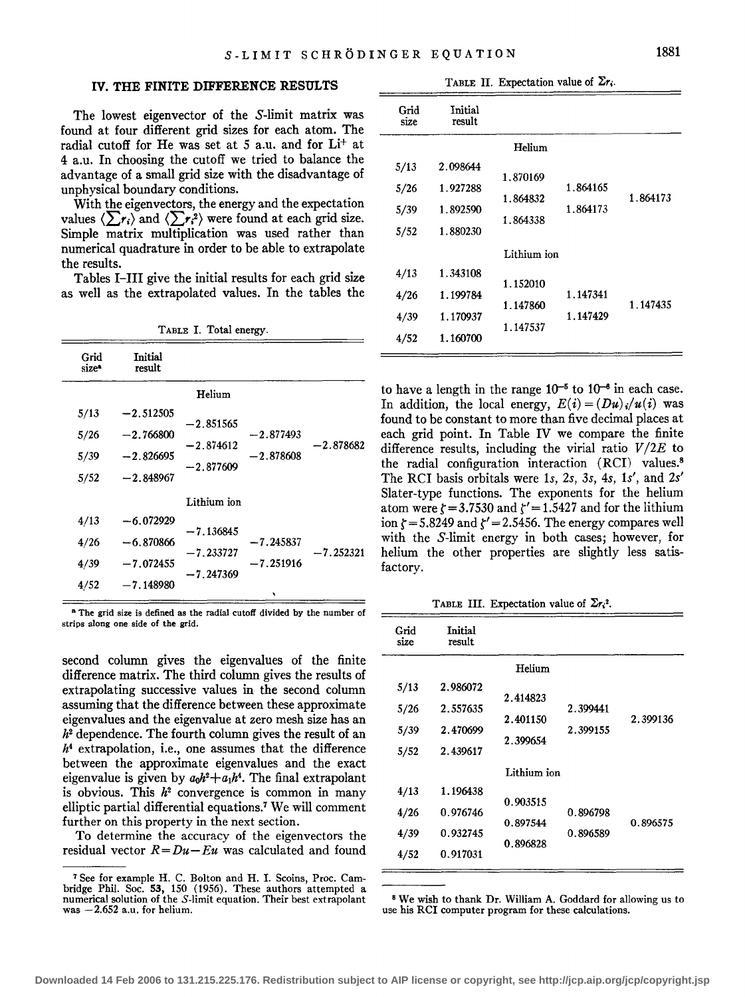#### IV. THE FINITE DIFFERENCE RESULTS

The lowest eigenvector of the S-limit matrix was found at four different grid sizes for each atom. The radial cutoff for He was set at 5 a.u. and for Li+ at 4 a.u. In choosing the cutoff we tried to balance the advantage of a small grid size with the disadvantage of unphysical boundary conditions.

With the eigenvectors, the energy and the expectation values  $\langle \sum r_i \rangle$  and  $\langle \sum r_i^2 \rangle$  were found at each grid size. Simple matrix multiplication was used rather than numerical quadrature in order to be able to extrapolate the results.

Tables I-III give the initial results for each grid size as well as the extrapolated values. In the tables the

|  |  |  | TABLE I. Total energy. |
|--|--|--|------------------------|
|--|--|--|------------------------|

| Grid<br>size* | <b>Initial</b><br>result |                            |             |             |
|---------------|--------------------------|----------------------------|-------------|-------------|
|               |                          | Helium                     |             |             |
| 5/13          | $-2.512505$              |                            |             |             |
| 5/26          | $-2.766800$              | $-2.851565$<br>$-2.874612$ | $-2.877493$ | $-2.878682$ |
| 5/39          | $-2.826695$              |                            | $-2.878608$ |             |
| 5/52          | $-2.848967$              | $-2.877609$                |             |             |
|               |                          | Lithium ion                |             |             |
| 4/13          | $-6.072929$              | $-7.136845$                |             |             |
| 4/26          | $-6.870866$              |                            | $-7.245837$ |             |
| 4/39          | $-7.072455$              | -7.233727                  | $-7.251916$ | -7.252321   |
| 4/52          | $-7.148980$              | $-7.247369$                | ۰           |             |

<sup>8</sup> The grid size is defined as the radial cutoff divided by the number of strips along one side of the grid.

second column gives the eigenvalues of the finite difference matrix. The third column gives the results of extrapolating successive values in the second column assuming that the difference between these approximate eigenvalues and the eigenvalue at zero mesh size has an  $h<sup>2</sup>$  dependence. The fourth column gives the result of an *h4* extrapolation, i.e., one assumes that the difference between the approximate eigenvalues and the exact eigenvalue is given by  $a_0h^2 + a_1h^4$ . The final extrapolant is obvious. This  $h^2$  convergence is common in many elliptic partial differential equations.7 We will comment further on this property in the next section.

To determine the accuracy of the eigenvectors the residual vector  $R = Du - Eu$  was calculated and found

|  |  | TABLE II. Expectation value of $\Sigma r_i$ . |  |  |
|--|--|-----------------------------------------------|--|--|
|--|--|-----------------------------------------------|--|--|

| Grid<br>size | Initial<br>result |             |          |          |
|--------------|-------------------|-------------|----------|----------|
|              |                   | Helium      |          |          |
| 5/13         | 2.098644          | 1.870169    |          |          |
| 5/26         | 1.927288          |             | 1.864165 |          |
| 5/39         | 1.892590          | 1.864832    | 1.864173 | 1.864173 |
| 5/52         | 1.880230          | 1.864338    |          |          |
|              |                   | Lithium ion |          |          |
| 4/13         | 1.343108          |             |          |          |
| 4/26         | 1.199784          | 1.152010    | 1.147341 |          |
| 4/39         | 1.170937          | 1.147860    | 1.147429 | 1.147435 |
| 4/52         | 1.160700          | 1.147537    |          |          |
|              |                   |             |          |          |

to have a length in the range  $10^{-5}$  to  $10^{-6}$  in each case. In addition, the local energy,  $E(i) = (Du)_i/u(i)$  was found to be constant to more than five decimal places at each grid point. In Table IV we compare the finite difference results, including the virial ratio  $V/2E$  to the radial configuration interaction (RCI) values.8 The RCI basis orbitals were ls, *2s, 3s,* 4s, 1s', and *2s'*  Slater-type functions. The exponents for the helium atom were  $\zeta = 3.7530$  and  $\zeta' = 1.5427$  and for the lithium ion  $\zeta = 5.8249$  and  $\zeta' = 2.5456$ . The energy compares well with the S-limit energy in both cases; however, for helium the other properties are slightly less satisfactory.

TABLE III. Expectation value of  $\Sigma r_i^2$ .

| Grid<br>size | Initial<br>result |             |          |          |
|--------------|-------------------|-------------|----------|----------|
|              |                   | Helium      |          |          |
| 5/13         | 2.986072          |             |          |          |
| 5/26         | 2.557635          | 2.414823    | 2.399441 |          |
| 5/39         | 2.470699          | 2.401150    | 2.399155 | 2.399136 |
| 5/52         | 2.439617          | 2.399654    |          |          |
|              |                   | Lithium ion |          |          |
| 4/13         | 1.196438          |             |          |          |
| 4/26         | 0.976746          | 0.903515    | 0.896798 |          |
| 4/39         | 0.932745          | 0.897544    | 0.896589 | 0.896575 |
| 4/52         | 0.917031          | 0.896828    |          |          |

8 We wish to thank Dr. William A. Goddard for allowing us to use his RCI computer program for these calculations.

<sup>&</sup>lt;sup>7</sup> See for example H. C. Bolton and H. I. Scoins, Proc. Cam-<br>bridge Phil. Soc. 53, 150 (1956). These authors attempted a bridge Phil. Solution of the S-limit equation. Their best extrapolant was  $-2.652$  a.u. for helium.